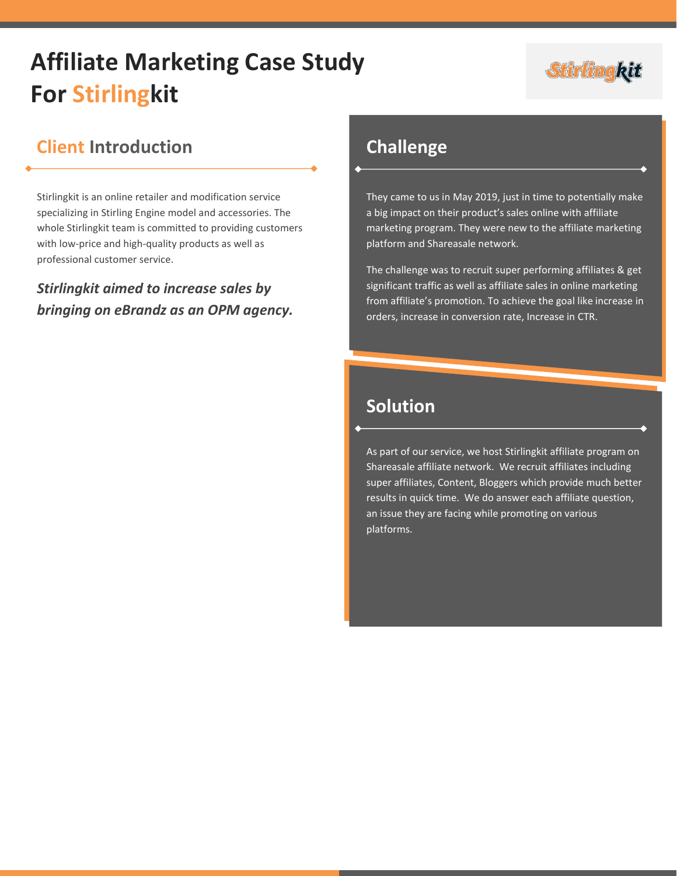# **Affiliate Marketing Case Study For Stirlingkit**



## **Client Introduction**

Stirlingkit is an online retailer and modification service specializing in Stirling Engine model and accessories. The whole Stirlingkit team is committed to providing customers with low-price and high-quality products as well as professional customer service.

*Stirlingkit aimed to increase sales by bringing on eBrandz as an OPM agency.*

#### **Challenge**

They came to us in May 2019, just in time to potentially make a big impact on their product's sales online with affiliate marketing program. They were new to the affiliate marketing platform and Shareasale network.

The challenge was to recruit super performing affiliates & get significant traffic as well as affiliate sales in online marketing from affiliate's promotion. To achieve the goal like increase in orders, increase in conversion rate, Increase in CTR.

## **Solution**

As part of our service, we host Stirlingkit affiliate program on Shareasale affiliate network. We recruit affiliates including super affiliates, Content, Bloggers which provide much better results in quick time. We do answer each affiliate question, an issue they are facing while promoting on various platforms.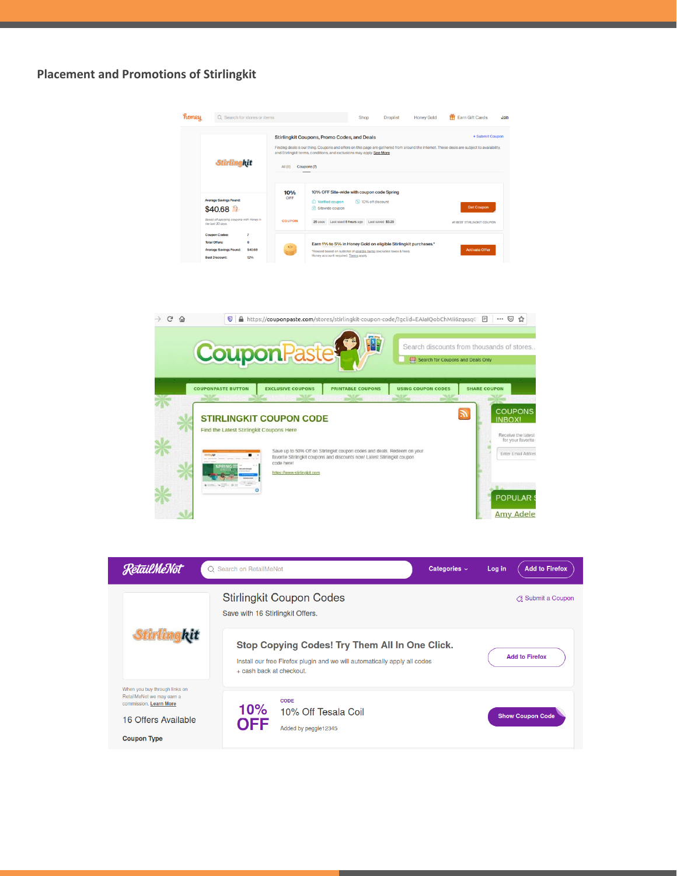#### **Placement and Promotions of Stirlingkit**





POPULAR ! **Amy Adele** 

 $\circ$